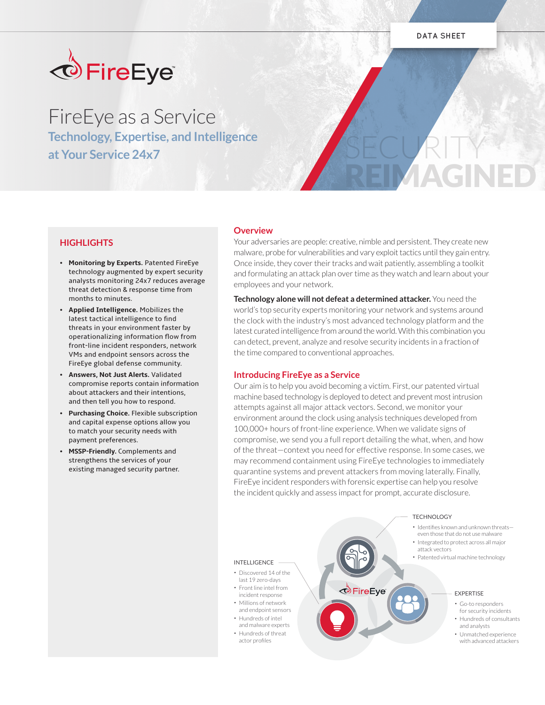

# FireEye as a Service

**Technology, Expertise, and Intelligence at Your Service 24x7** 

# SECURITY REIMAGINED

# **HIGHLIGHTS**

- **• Monitoring by Experts.** Patented FireEye technology augmented by expert security analysts monitoring 24x7 reduces average threat detection & response time from months to minutes.
- **• Applied Intelligence.** Mobilizes the latest tactical intelligence to find threats in your environment faster by operationalizing information flow from front-line incident responders, network VMs and endpoint sensors across the FireEye global defense community.
- **• Answers, Not Just Alerts.** Validated compromise reports contain information about attackers and their intentions, and then tell you how to respond.
- **• Purchasing Choice.** Flexible subscription and capital expense options allow you to match your security needs with payment preferences.
- **• MSSP-Friendly.** Complements and strengthens the services of your existing managed security partner.

# **Overview**

Your adversaries are people: creative, nimble and persistent. They create new malware, probe for vulnerabilities and vary exploit tactics until they gain entry. Once inside, they cover their tracks and wait patiently, assembling a toolkit and formulating an attack plan over time as they watch and learn about your employees and your network.

**Technology alone will not defeat a determined attacker.** You need the world's top security experts monitoring your network and systems around the clock with the industry's most advanced technology platform and the latest curated intelligence from around the world. With this combination you can detect, prevent, analyze and resolve security incidents in a fraction of the time compared to conventional approaches.

# **Introducing FireEye as a Service**

Our aim is to help you avoid becoming a victim. First, our patented virtual machine based technology is deployed to detect and prevent most intrusion attempts against all major attack vectors. Second, we monitor your environment around the clock using analysis techniques developed from 100,000+ hours of front-line experience. When we validate signs of compromise, we send you a full report detailing the what, when, and how of the threat—context you need for effective response. In some cases, we may recommend containment using FireEye technologies to immediately quarantine systems and prevent attackers from moving laterally. Finally, FireEye incident responders with forensic expertise can help you resolve the incident quickly and assess impact for prompt, accurate disclosure.



#### TECHNOLOGY

- Identifies known and unknown threats even those that do not use malware
- Integrated to protect across all major
- Patented virtual machine technology

#### EXPERTISE

- Go-to responders for security incidents
- Hundreds of consultants and analysts
- Unmatched experience with advanced attackers